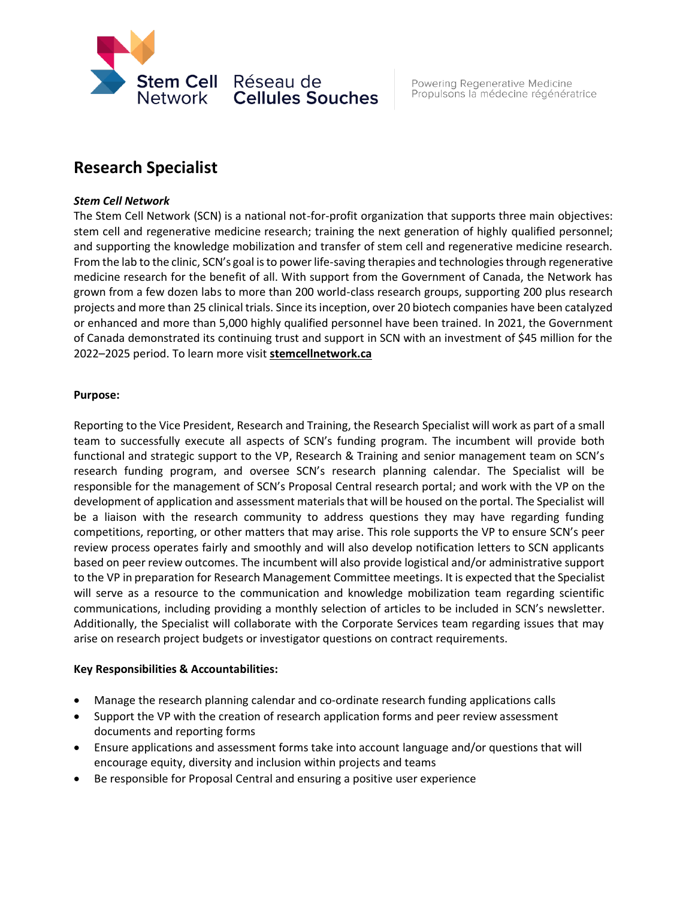

# **Research Specialist**

# *Stem Cell Network*

The Stem Cell Network (SCN) is a national not-for-profit organization that supports three main objectives: stem cell and regenerative medicine research; training the next generation of highly qualified personnel; and supporting the knowledge mobilization and transfer of stem cell and regenerative medicine research. From the lab to the clinic, SCN's goal is to power life-saving therapies and technologies through regenerative medicine research for the benefit of all. With support from the Government of Canada, the Network has grown from a few dozen labs to more than 200 world-class research groups, supporting 200 plus research projects and more than 25 clinical trials. Since its inception, over 20 biotech companies have been catalyzed or enhanced and more than 5,000 highly qualified personnel have been trained. In 2021, the Government of Canada demonstrated its continuing trust and support in SCN with an investment of \$45 million for the 2022–2025 period. To learn more visit **[stemcellnetwork.ca](https://stemcellnetwork.ca/)**

# **Purpose:**

Reporting to the Vice President, Research and Training, the Research Specialist will work as part of a small team to successfully execute all aspects of SCN's funding program. The incumbent will provide both functional and strategic support to the VP, Research & Training and senior management team on SCN's research funding program, and oversee SCN's research planning calendar. The Specialist will be responsible for the management of SCN's Proposal Central research portal; and work with the VP on the development of application and assessment materials that will be housed on the portal. The Specialist will be a liaison with the research community to address questions they may have regarding funding competitions, reporting, or other matters that may arise. This role supports the VP to ensure SCN's peer review process operates fairly and smoothly and will also develop notification letters to SCN applicants based on peer review outcomes. The incumbent will also provide logistical and/or administrative support to the VP in preparation for Research Management Committee meetings. It is expected that the Specialist will serve as a resource to the communication and knowledge mobilization team regarding scientific communications, including providing a monthly selection of articles to be included in SCN's newsletter. Additionally, the Specialist will collaborate with the Corporate Services team regarding issues that may arise on research project budgets or investigator questions on contract requirements.

### **Key Responsibilities & Accountabilities:**

- Manage the research planning calendar and co-ordinate research funding applications calls
- Support the VP with the creation of research application forms and peer review assessment documents and reporting forms
- Ensure applications and assessment forms take into account language and/or questions that will encourage equity, diversity and inclusion within projects and teams
- Be responsible for Proposal Central and ensuring a positive user experience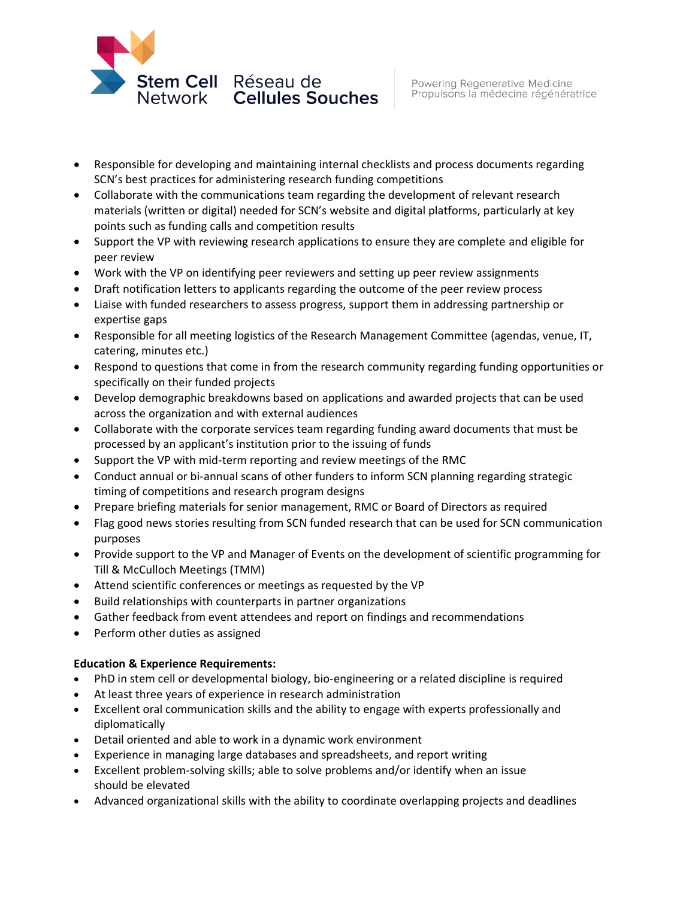

- Responsible for developing and maintaining internal checklists and process documents regarding SCN's best practices for administering research funding competitions
- Collaborate with the communications team regarding the development of relevant research materials (written or digital) needed for SCN's website and digital platforms, particularly at key points such as funding calls and competition results
- Support the VP with reviewing research applications to ensure they are complete and eligible for peer review
- Work with the VP on identifying peer reviewers and setting up peer review assignments
- Draft notification letters to applicants regarding the outcome of the peer review process
- Liaise with funded researchers to assess progress, support them in addressing partnership or expertise gaps
- Responsible for all meeting logistics of the Research Management Committee (agendas, venue, IT, catering, minutes etc.)
- Respond to questions that come in from the research community regarding funding opportunities or specifically on their funded projects
- Develop demographic breakdowns based on applications and awarded projects that can be used across the organization and with external audiences
- Collaborate with the corporate services team regarding funding award documents that must be processed by an applicant's institution prior to the issuing of funds
- Support the VP with mid-term reporting and review meetings of the RMC
- Conduct annual or bi-annual scans of other funders to inform SCN planning regarding strategic timing of competitions and research program designs
- Prepare briefing materials for senior management, RMC or Board of Directors as required
- Flag good news stories resulting from SCN funded research that can be used for SCN communication purposes
- Provide support to the VP and Manager of Events on the development of scientific programming for Till & McCulloch Meetings (TMM)
- Attend scientific conferences or meetings as requested by the VP
- Build relationships with counterparts in partner organizations
- Gather feedback from event attendees and report on findings and recommendations
- Perform other duties as assigned

# **Education & Experience Requirements:**

- PhD in stem cell or developmental biology, bio-engineering or a related discipline is required
- At least three years of experience in research administration
- Excellent oral communication skills and the ability to engage with experts professionally and diplomatically
- Detail oriented and able to work in a dynamic work environment
- Experience in managing large databases and spreadsheets, and report writing
- Excellent problem-solving skills; able to solve problems and/or identify when an issue should be elevated
- Advanced organizational skills with the ability to coordinate overlapping projects and deadlines